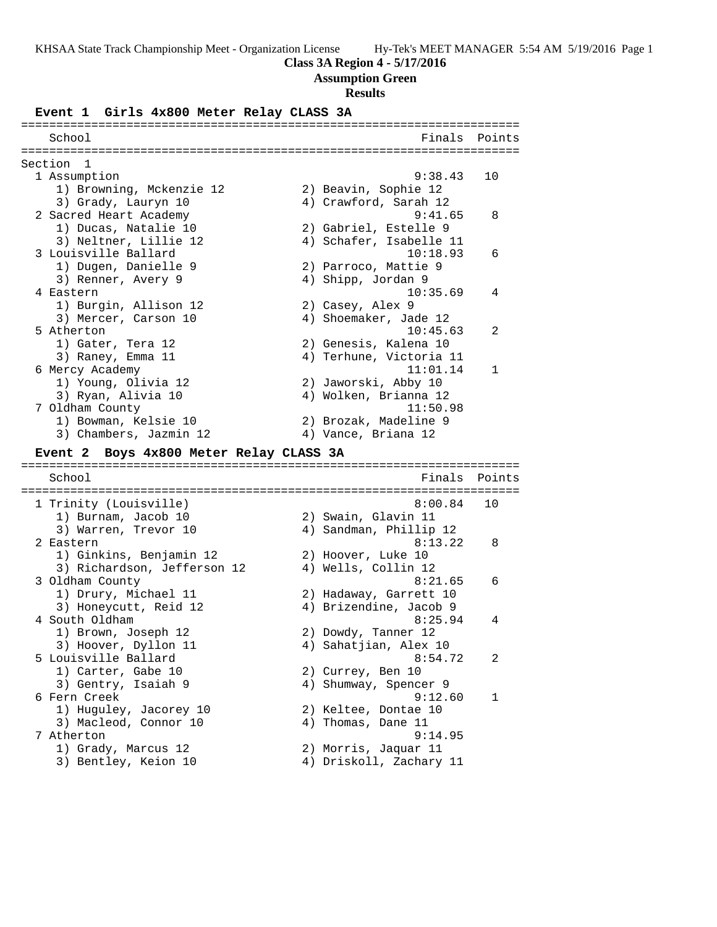## **Class 3A Region 4 - 5/17/2016**

## **Assumption Green**

#### **Results**

#### **Event 1 Girls 4x800 Meter Relay CLASS 3A**

======================================================================= School **Finals Points** ======================================================================= Section 1 1 Assumption 9:38.43 10 1) Browning, Mckenzie 12 2) Beavin, Sophie 12 3) Grady, Lauryn 10 4) Crawford, Sarah 12 2 Sacred Heart Academy 9:41.65 8 1) Ducas, Natalie 10 2) Gabriel, Estelle 9 3) Neltner, Lillie 12 4) Schafer, Isabelle 11 3 Louisville Ballard 10:18.93 6 1) Dugen, Danielle 9 2) Parroco, Mattie 9 3) Renner, Avery 9 1988 (4) Shipp, Jordan 9 4 Eastern 10:35.69 4 1) Burgin, Allison 12 2) Casey, Alex 9 3) Mercer, Carson 10 4) Shoemaker, Jade 12 5 Atherton 10:45.63 2 1) Gater, Tera 12 2) Genesis, Kalena 10 3) Raney, Emma 11 4) Terhune, Victoria 11 6 Mercy Academy 11:01.14 1 1) Young, Olivia 12 2) Jaworski, Abby 10 3) Ryan, Alivia 10 4) Wolken, Brianna 12 7 Oldham County 11:50.98 1) Bowman, Kelsie 10 2) Brozak, Madeline 9 3) Chambers, Jazmin 12 (4) Vance, Briana 12 **Event 2 Boys 4x800 Meter Relay CLASS 3A** ======================================================================= School **Finals** Points **Points** ======================================================================= 1 Trinity (Louisville) 8:00.84 10 1) Burnam, Jacob 10 2) Swain, Glavin 11 3) Warren, Trevor 10 4) Sandman, Phillip 12 2 Eastern 8:13.22 8 1) Ginkins, Benjamin 12 2) Hoover, Luke 10 3) Richardson, Jefferson 12 4) Wells, Collin 12 3 Oldham County 8:21.65 6 1) Drury, Michael 11 2) Hadaway, Garrett 10 3) Honeycutt, Reid 12 4) Brizendine, Jacob 9 4 South Oldham 8:25.94 4 1) Brown, Joseph 12 2) Dowdy, Tanner 12 3) Hoover, Dyllon 11 4) Sahatjian, Alex 10 5 Louisville Ballard 8:54.72 2 1) Carter, Gabe 10 2) Currey, Ben 10 3) Gentry, Isaiah 9 4) Shumway, Spencer 9 6 Fern Creek 9:12.60 1 1) Huguley, Jacorey 10 2) Keltee, Dontae 10 3) Macleod, Connor 10 (4) Thomas, Dane 11 7 Atherton 9:14.95 1) Grady, Marcus 12 2) Morris, Jaquar 11 3) Bentley, Keion 10 4) Driskoll, Zachary 11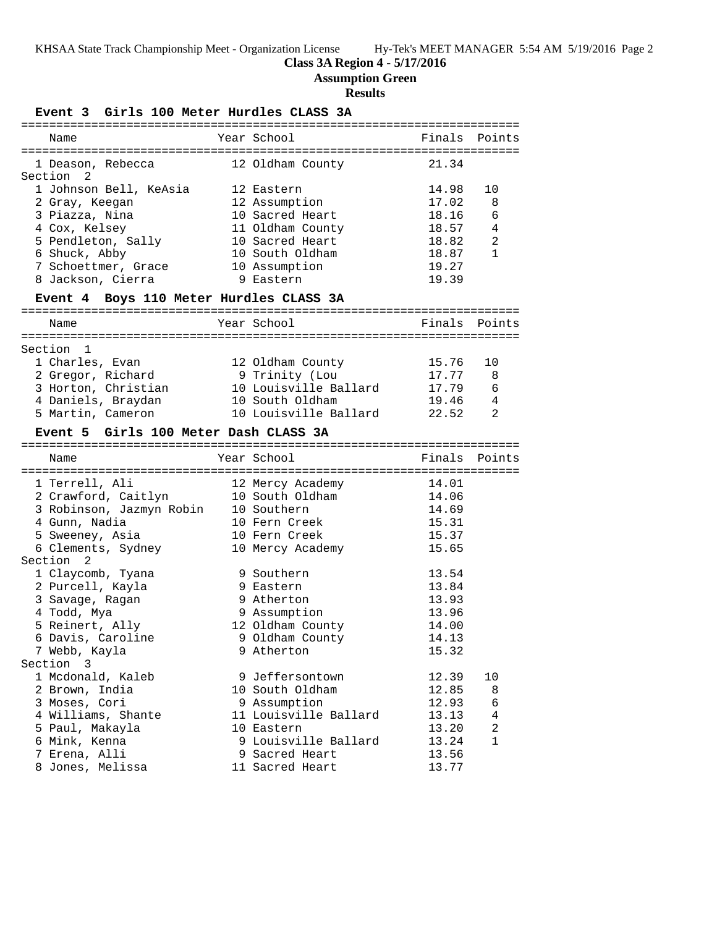# **Class 3A Region 4 - 5/17/2016**

**Assumption Green**

# **Results**

**Event 3 Girls 100 Meter Hurdles CLASS 3A**

| Name                                    | Year School                       | Finals         | Points       |
|-----------------------------------------|-----------------------------------|----------------|--------------|
|                                         |                                   |                |              |
| 1 Deason, Rebecca                       | 12 Oldham County                  | 21.34          |              |
| Section 2                               |                                   |                |              |
| 1 Johnson Bell, KeAsia                  | 12 Eastern                        | 14.98          | 10           |
| 2 Gray, Keegan                          | 12 Assumption                     | 17.02          | 8            |
| 3 Piazza, Nina                          | 10 Sacred Heart                   | 18.16          | 6            |
| 4 Cox, Kelsey                           | 11 Oldham County                  | 18.57          | 4            |
| 5 Pendleton, Sally                      | 10 Sacred Heart                   | 18.82          | 2            |
| 6 Shuck, Abby                           | 10 South Oldham                   | 18.87          | $\mathbf{1}$ |
| 7 Schoettmer, Grace                     | 10 Assumption                     | 19.27          |              |
| 8 Jackson, Cierra                       | 9 Eastern                         | 19.39          |              |
|                                         |                                   |                |              |
| Event 4 Boys 110 Meter Hurdles CLASS 3A |                                   |                |              |
| Name                                    | Year School                       | Finals Points  |              |
|                                         |                                   |                |              |
| Section 1                               |                                   |                |              |
| 1 Charles, Evan                         | 12 Oldham County                  | 15.76          | 10           |
| 2 Gregor, Richard                       | 9 Trinity (Lou                    | 17.77          | 8            |
| 3 Horton, Christian                     | 10 Louisville Ballard             | 17.79          | 6            |
| 4 Daniels, Braydan                      | 10 South Oldham                   | 19.46          | 4            |
| 5 Martin, Cameron                       | 10 Louisville Ballard             | 22.52          | 2            |
|                                         |                                   |                |              |
| Event 5 Girls 100 Meter Dash CLASS 3A   |                                   |                |              |
|                                         |                                   |                |              |
|                                         |                                   |                |              |
| Name                                    | Year School                       | Finals         | Points       |
|                                         |                                   |                |              |
| 1 Terrell, Ali                          | 12 Mercy Academy                  | 14.01          |              |
| 2 Crawford, Caitlyn                     | 10 South Oldham                   | 14.06          |              |
| 3 Robinson, Jazmyn Robin                | 10 Southern                       | 14.69          |              |
| 4 Gunn, Nadia                           | 10 Fern Creek                     | 15.31          |              |
| 5 Sweeney, Asia                         | 10 Fern Creek                     | 15.37          |              |
| 6 Clements, Sydney                      | 10 Mercy Academy                  | 15.65          |              |
| Section <sub>2</sub>                    |                                   |                |              |
| 1 Claycomb, Tyana                       | 9 Southern                        | 13.54          |              |
| 2 Purcell, Kayla                        | 9 Eastern                         | 13.84          |              |
| 3 Savage, Ragan                         | 9 Atherton                        | 13.93          |              |
| 4 Todd, Mya                             | 9 Assumption                      | 13.96          |              |
| 5 Reinert, Ally                         | 12 Oldham County                  | 14.00          |              |
| 6 Davis, Caroline                       | 9 Oldham County                   | 14.13          |              |
| 7 Webb, Kayla                           | 9 Atherton                        | 15.32          |              |
| Section<br>3                            |                                   |                |              |
| 1 Mcdonald, Kaleb                       | 9 Jeffersontown                   | 12.39          | 10           |
| 2 Brown, India                          | 10 South Oldham                   | 12.85          | 8            |
| 3 Moses, Cori                           | 9 Assumption                      | 12.93          | 6            |
| 4 Williams, Shante                      | 11 Louisville Ballard             | 13.13          | 4            |
|                                         | 10 Eastern                        |                | 2            |
| 5 Paul, Makayla                         |                                   | 13.20          | 1            |
| 6 Mink, Kenna                           | 9 Louisville Ballard              | 13.24          |              |
| 7 Erena, Alli<br>8 Jones, Melissa       | 9 Sacred Heart<br>11 Sacred Heart | 13.56<br>13.77 |              |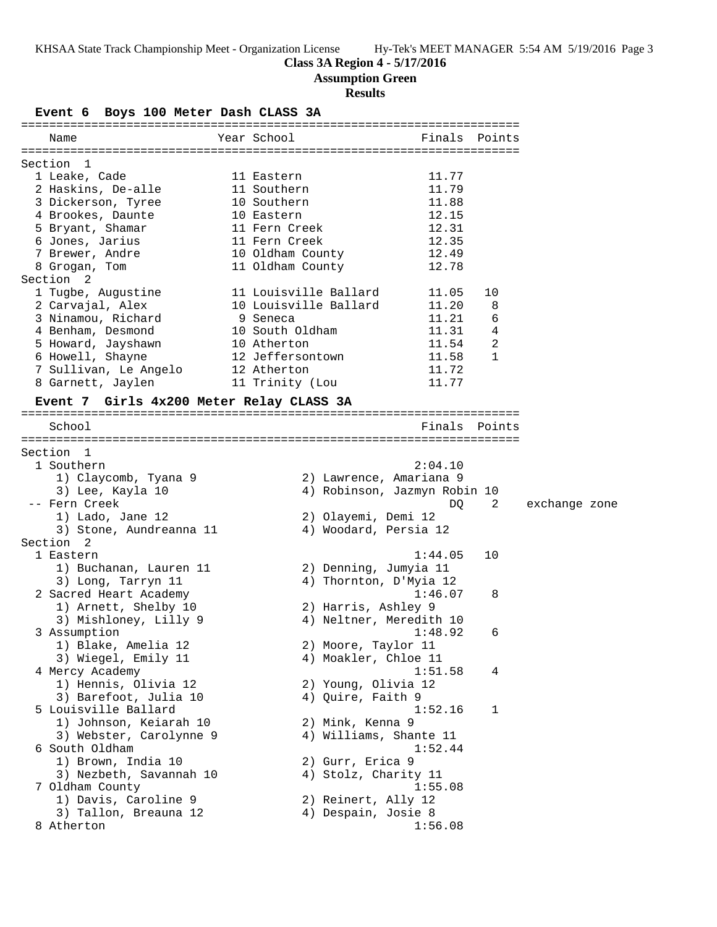## **Class 3A Region 4 - 5/17/2016**

**Assumption Green**

## **Results**

**Event 6 Boys 100 Meter Dash CLASS 3A** ======================================================================= Name The Year School The Finals Points ======================================================================= Section 1 1 Leake, Cade 11 Eastern 11.77 2 Haskins, De-alle 11 Southern 11.79 3 Dickerson, Tyree 10 Southern 11.88 4 Brookes, Daunte 10 Eastern 12.15 5 Bryant, Shamar 11 Fern Creek 12.31 6 Jones, Jarius 11 Fern Creek 12.35 7 Brewer, Andre 10 Oldham County 12.49 8 Grogan, Tom 11 Oldham County 12.78 Section 2 1 Tugbe, Augustine 11 Louisville Ballard 11.05 10 2 Carvajal, Alex 10 Louisville Ballard 11.20 8 3 Ninamou, Richard 9 Seneca 11.21 6 4 Benham, Desmond 10 South Oldham 11.31 4 5 Howard, Jayshawn 10 Atherton 11.54 2 6 Howell, Shayne 12 Jeffersontown 11.58 1 7 Sullivan, Le Angelo 12 Atherton 11.72 8 Garnett, Jaylen 11 Trinity (Lou 11.77 **Event 7 Girls 4x200 Meter Relay CLASS 3A** ======================================================================= School **Finals** Points ======================================================================= Section 1 1 Southern 2:04.10 1) Claycomb, Tyana 9 2) Lawrence, Amariana 9 3) Lee, Kayla 10 4) Robinson, Jazmyn Robin 10 -- Fern Creek DQ 2 exchange zone 1) Lado, Jane 12 2) Olayemi, Demi 12 3) Stone, Aundreanna 11 4) Woodard, Persia 12 Section 2 1 Eastern 1:44.05 10 1) Buchanan, Lauren 11 2) Denning, Jumyia 11 3) Long, Tarryn 11 4) Thornton, D'Myia 12 2 Sacred Heart Academy 1:46.07 8 1) Arnett, Shelby 10 2) Harris, Ashley 9 3) Mishloney, Lilly 9  $\hskip1cm$  4) Neltner, Meredith 10 3 Assumption 1:48.92 6 1) Blake, Amelia 12 2) Moore, Taylor 11 3) Wiegel, Emily 11 (4) Moakler, Chloe 11 4 Mercy Academy 1:51.58 4 1) Hennis, Olivia 12 2) Young, Olivia 12 3) Barefoot, Julia 10  $\qquad \qquad$  4) Quire, Faith 9 5 Louisville Ballard 1:52.16 1 1) Johnson, Keiarah 10 2) Mink, Kenna 9 3) Webster, Carolynne 9 4) Williams, Shante 11 6 South Oldham 1:52.44 1) Brown, India 10 2) Gurr, Erica 9 3) Nezbeth, Savannah 10  $\hskip1cm$  4) Stolz, Charity 11 7 Oldham County 1:55.08 1) Davis, Caroline 9 2) Reinert, Ally 12 3) Tallon, Breauna 12 4) Despain, Josie 8 8 Atherton 1:56.08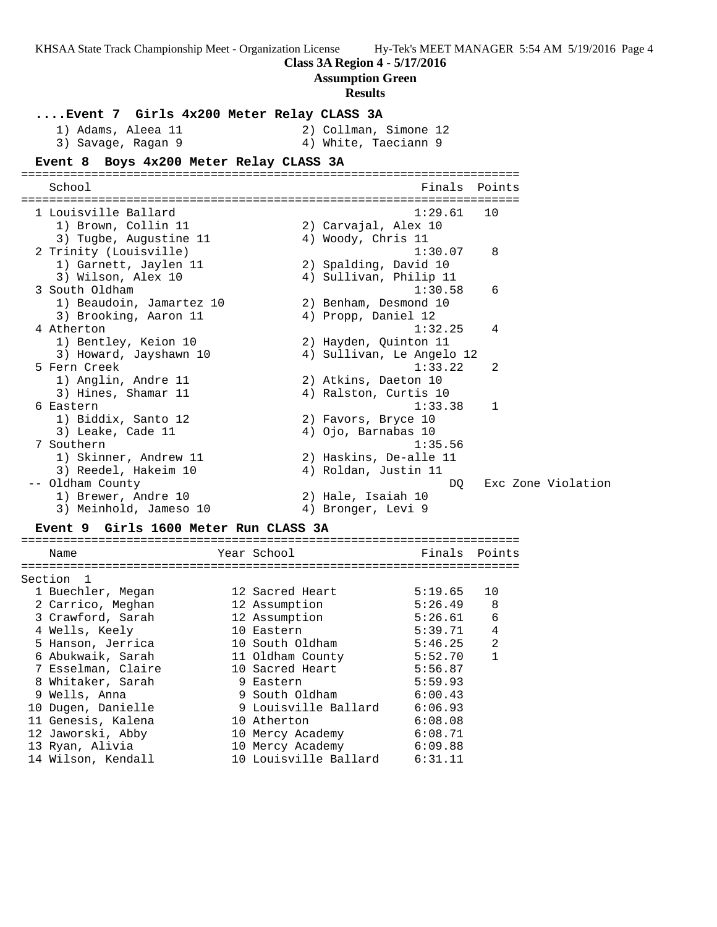| KHSAA State Track Championship Meet - Organization License |  |
|------------------------------------------------------------|--|
|------------------------------------------------------------|--|

**Class 3A Region 4 - 5/17/2016**

## **Assumption Green**

#### **Results**

**....Event 7 Girls 4x200 Meter Relay CLASS 3A** 1) Adams, Aleea 11 2) Collman, Simone 12 3) Savage, Ragan 9  $\hskip1cm \hskip1cm 4$ ) White, Taeciann 9 **Event 8 Boys 4x200 Meter Relay CLASS 3A** ======================================================================= School **Finals Points** ======================================================================= 1 Louisville Ballard 1:29.61 10 1) Brown, Collin 11 2) Carvajal, Alex 10 3) Tugbe, Augustine 11  $\hskip10mm 4$ ) Woody, Chris 11 2 Trinity (Louisville) 1:30.07 8 1) Garnett, Jaylen 11 2) Spalding, David 10 3) Wilson, Alex 10 4) Sullivan, Philip 11 3 South Oldham 1:30.58 6 1) Beaudoin, Jamartez 10 2) Benham, Desmond 10 3) Brooking, Aaron 11 4) Propp, Daniel 12 4 Atherton 1:32.25 4 1) Bentley, Keion 10 2) Hayden, Quinton 11 3) Howard, Jayshawn 10 4) Sullivan, Le Angelo 12 5 Fern Creek 1:33.22 2 1) Anglin, Andre 11 2) Atkins, Daeton 10 3) Hines, Shamar 11 4) Ralston, Curtis 10 6 Eastern 1:33.38 1 1) Biddix, Santo 12 2) Favors, Bryce 10 3) Leake, Cade 11 (4) Ojo, Barnabas 10 7 Southern 1:35.56 1) Skinner, Andrew 11 2) Haskins, De-alle 11 3) Reedel, Hakeim 10 4) Roldan, Justin 11 -- Oldham County DQ Exc Zone Violation 1) Brewer, Andre 10 2) Hale, Isaiah 10 3) Meinhold, Jameso 10 (4) Bronger, Levi 9

## **Event 9 Girls 1600 Meter Run CLASS 3A**

======================================================================= Name The Year School The Pinals Points ======================================================================= Section 1 1 Buechler, Megan 12 Sacred Heart 5:19.65 10 2 Carrico, Meghan 12 Assumption 5:26.49 8 3 Crawford, Sarah 12 Assumption 5:26.61 6 4 Wells, Keely 10 Eastern 5:39.71 4 5 Hanson, Jerrica 10 South Oldham 5:46.25 2 6 Abukwaik, Sarah 11 Oldham County 5:52.70 1 7 Esselman, Claire 10 Sacred Heart 5:56.87 8 Whitaker, Sarah 9 Eastern 5:59.93 9 Wells, Anna 9 South Oldham 6:00.43 10 Dugen, Danielle 9 Louisville Ballard 6:06.93 11 Genesis, Kalena 10 Atherton 6:08.08 12 Jaworski, Abby 10 Mercy Academy 6:08.71 13 Ryan, Alivia 10 Mercy Academy 6:09.88 14 Wilson, Kendall 10 Louisville Ballard 6:31.11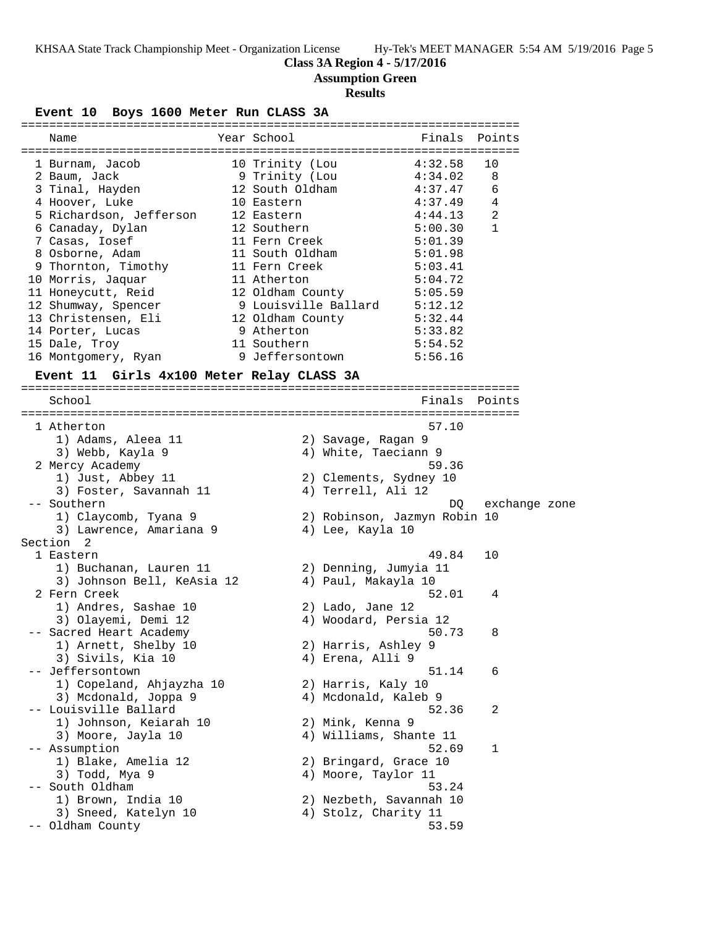# **Class 3A Region 4 - 5/17/2016**

**Assumption Green**

## **Results**

**Event 10 Boys 1600 Meter Run CLASS 3A**

|       | Name                                      | Year School                       |                              | Finals  | Points        |  |
|-------|-------------------------------------------|-----------------------------------|------------------------------|---------|---------------|--|
|       |                                           |                                   |                              | 4:32.58 | 10            |  |
|       | 1 Burnam, Jacob                           | 10 Trinity (Lou                   |                              |         | 8             |  |
|       | 2 Baum, Jack                              | 9 Trinity (Lou<br>12 South Oldham |                              | 4:34.02 | 6             |  |
|       | 3 Tinal, Hayden                           |                                   |                              | 4:37.47 |               |  |
|       | 4 Hoover, Luke                            | 10 Eastern                        |                              | 4:37.49 | 4             |  |
|       | 5 Richardson, Jefferson                   | 12 Eastern                        |                              | 4:44.13 | 2             |  |
|       | 6 Canaday, Dylan                          | 12 Southern                       |                              | 5:00.30 | 1             |  |
|       | 7 Casas, Iosef                            | 11 Fern Creek                     |                              | 5:01.39 |               |  |
|       | 8 Osborne, Adam                           | 11 South Oldham                   |                              | 5:01.98 |               |  |
|       | 9 Thornton, Timothy                       | 11 Fern Creek                     |                              | 5:03.41 |               |  |
|       | 10 Morris, Jaquar                         | 11 Atherton                       |                              | 5:04.72 |               |  |
|       | 11 Honeycutt, Reid                        |                                   | 12 Oldham County             | 5:05.59 |               |  |
|       | 12 Shumway, Spencer                       |                                   | 9 Louisville Ballard 5:12.12 |         |               |  |
|       | 13 Christensen, Eli                       |                                   | 12 Oldham County 5:32.44     |         |               |  |
|       | 14 Porter, Lucas                          | 9 Atherton                        |                              | 5:33.82 |               |  |
|       | 15 Dale, Troy                             | 11 Southern                       |                              | 5:54.52 |               |  |
|       | 16 Montgomery, Ryan                       | 9 Jeffersontown                   |                              | 5:56.16 |               |  |
|       | Event 11 Girls 4x100 Meter Relay CLASS 3A |                                   |                              |         |               |  |
|       | School                                    |                                   |                              | Finals  | Points        |  |
|       |                                           |                                   |                              |         |               |  |
|       | 1 Atherton                                |                                   |                              | 57.10   |               |  |
|       | 1) Adams, Aleea 11                        |                                   | 2) Savage, Ragan 9           |         |               |  |
|       | 3) Webb, Kayla 9                          |                                   | 4) White, Taeciann 9         |         |               |  |
|       | 2 Mercy Academy                           |                                   |                              | 59.36   |               |  |
|       | 1) Just, Abbey 11                         |                                   | 2) Clements, Sydney 10       |         |               |  |
|       | 3) Foster, Savannah 11                    |                                   | 4) Terrell, Ali 12           |         |               |  |
|       | -- Southern                               |                                   |                              | DQ      | exchange zone |  |
|       | 1) Claycomb, Tyana 9                      |                                   | 2) Robinson, Jazmyn Robin 10 |         |               |  |
|       |                                           |                                   |                              |         |               |  |
|       | 3) Lawrence, Amariana 9<br>Section 2      |                                   | 4) Lee, Kayla 10             |         |               |  |
|       | 1 Eastern                                 |                                   |                              | 49.84   | 10            |  |
|       |                                           |                                   |                              |         |               |  |
|       | 1) Buchanan, Lauren 11                    |                                   | 2) Denning, Jumyia 11        |         |               |  |
|       | 3) Johnson Bell, KeAsia 12                |                                   | 4) Paul, Makayla 10          |         |               |  |
|       | 2 Fern Creek                              |                                   |                              | 52.01   | 4             |  |
|       | 1) Andres, Sashae 10                      |                                   | 2) Lado, Jane 12             |         |               |  |
|       | 3) Olayemi, Demi 12                       |                                   | 4) Woodard, Persia 12        |         |               |  |
|       | -- Sacred Heart Academy                   |                                   |                              | 50.73   | 8             |  |
|       | 1) Arnett, Shelby 10                      |                                   | 2) Harris, Ashley 9          |         |               |  |
|       | 3) Sivils, Kia 10                         |                                   | 4) Erena, Alli 9             |         |               |  |
| $- -$ | Jeffersontown                             |                                   |                              | 51.14   | 6             |  |
|       | 1) Copeland, Ahjayzha 10                  |                                   | 2) Harris, Kaly 10           |         |               |  |
|       | 3) Mcdonald, Joppa 9                      |                                   | 4) Mcdonald, Kaleb 9         |         |               |  |
|       | -- Louisville Ballard                     |                                   |                              | 52.36   | 2             |  |
|       | 1) Johnson, Keiarah 10                    |                                   | 2) Mink, Kenna 9             |         |               |  |
|       | 3) Moore, Jayla 10                        |                                   | 4) Williams, Shante 11       |         |               |  |
|       | -- Assumption                             |                                   |                              | 52.69   | 1             |  |
|       | 1) Blake, Amelia 12                       |                                   | 2) Bringard, Grace 10        |         |               |  |
|       | 3) Todd, Mya 9                            |                                   | 4) Moore, Taylor 11          |         |               |  |
|       | South Oldham                              |                                   |                              | 53.24   |               |  |
|       | 1) Brown, India 10                        |                                   | 2) Nezbeth, Savannah 10      |         |               |  |
|       | 3) Sneed, Katelyn 10                      |                                   | 4) Stolz, Charity 11         |         |               |  |
|       |                                           |                                   |                              | 53.59   |               |  |
|       | -- Oldham County                          |                                   |                              |         |               |  |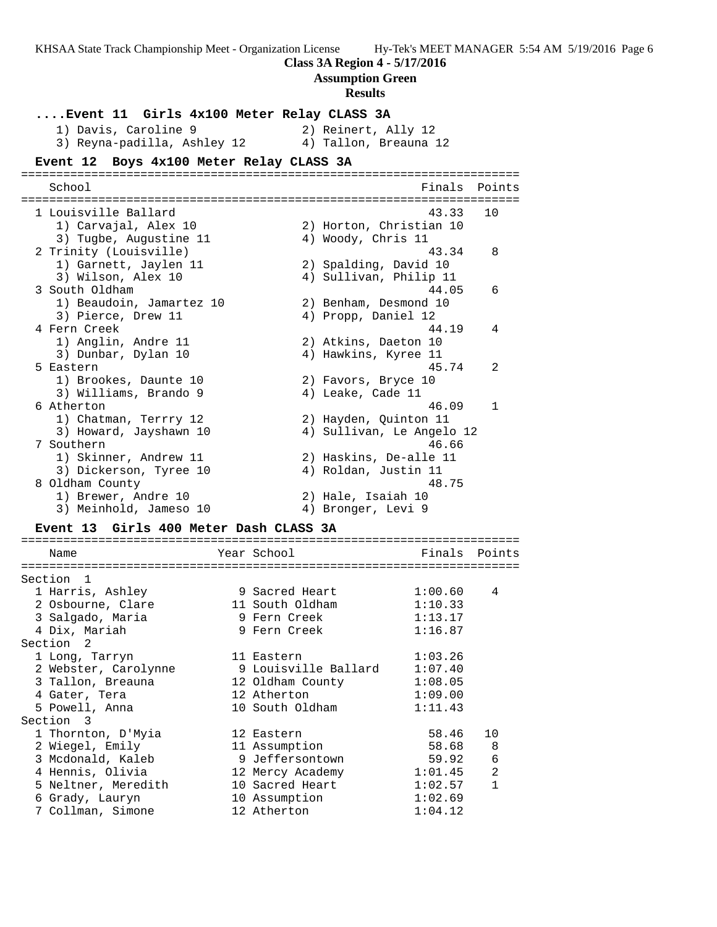**Class 3A Region 4 - 5/17/2016**

**Assumption Green**

# **Results**

| Event 11 Girls 4x100 Meter Relay CLASS 3A                           |                              |                            |              |
|---------------------------------------------------------------------|------------------------------|----------------------------|--------------|
| 1) Davis, Caroline 9                                                |                              | 2) Reinert, Ally 12        |              |
| 3) Reyna-padilla, Ashley 12                                         |                              | 4) Tallon, Breauna 12      |              |
| Event 12 Boys 4x100 Meter Relay CLASS 3A                            | ============================ |                            |              |
| School                                                              |                              | Finals                     | Points       |
| 1 Louisville Ballard                                                |                              | 43.33                      | 10           |
| 1) Carvajal, Alex 10                                                |                              | 2) Horton, Christian 10    |              |
| 3) Tugbe, Augustine 11                                              |                              | 4) Woody, Chris 11         |              |
| 2 Trinity (Louisville)                                              |                              | 43.34                      | 8            |
| 1) Garnett, Jaylen 11                                               |                              | 2) Spalding, David 10      |              |
| 3) Wilson, Alex 10                                                  |                              | 4) Sullivan, Philip 11     |              |
| 3 South Oldham                                                      |                              | 44.05                      | 6            |
| 1) Beaudoin, Jamartez 10                                            |                              | 2) Benham, Desmond 10      |              |
| 3) Pierce, Drew 11                                                  |                              | 4) Propp, Daniel 12        |              |
| 4 Fern Creek                                                        |                              | 44.19                      | 4            |
| 1) Anglin, Andre 11                                                 |                              | 2) Atkins, Daeton 10       |              |
| 3) Dunbar, Dylan 10                                                 |                              | 4) Hawkins, Kyree 11       |              |
| 5 Eastern                                                           |                              | 45.74                      | 2            |
| 1) Brookes, Daunte 10                                               |                              | 2) Favors, Bryce 10        |              |
| 3) Williams, Brando 9                                               |                              | 4) Leake, Cade 11          |              |
| 6 Atherton                                                          |                              | 46.09                      | $\mathbf{1}$ |
| 1) Chatman, Terrry 12                                               |                              | 2) Hayden, Quinton 11      |              |
| 3) Howard, Jayshawn 10                                              |                              | 4) Sullivan, Le Angelo 12  |              |
| 7 Southern                                                          |                              | 46.66                      |              |
| 1) Skinner, Andrew 11                                               |                              | 2) Haskins, De-alle 11     |              |
| 3) Dickerson, Tyree 10                                              |                              | 4) Roldan, Justin 11       |              |
| 8 Oldham County                                                     |                              | 48.75                      |              |
| 1) Brewer, Andre 10                                                 |                              | 2) Hale, Isaiah 10         |              |
| 3) Meinhold, Jameso 10                                              |                              | 4) Bronger, Levi 9         |              |
| Girls 400 Meter Dash CLASS 3A<br>Event 13<br>---------------------- |                              | -------------------------- |              |
| Name                                                                | Year School                  | Finals                     | Points       |

| Section              | $\overline{1}$       |                      |         |                |
|----------------------|----------------------|----------------------|---------|----------------|
|                      | 1 Harris, Ashley     | 9 Sacred Heart       | 1:00.60 | 4              |
|                      | 2 Osbourne, Clare    | 11 South Oldham      | 1:10.33 |                |
|                      | 3 Salgado, Maria     | 9 Fern Creek         | 1:13.17 |                |
|                      | 4 Dix, Mariah        | 9 Fern Creek         | 1:16.87 |                |
| Section <sub>2</sub> |                      |                      |         |                |
|                      | 1 Long, Tarryn       | 11 Eastern           | 1:03.26 |                |
|                      | 2 Webster, Carolynne | 9 Louisville Ballard | 1:07.40 |                |
|                      | 3 Tallon, Breauna    | 12 Oldham County     | 1:08.05 |                |
|                      | 4 Gater, Tera        | 12 Atherton          | 1:09.00 |                |
|                      | 5 Powell, Anna       | 10 South Oldham      | 1:11.43 |                |
| Section 3            |                      |                      |         |                |
|                      | 1 Thornton, D'Myia   | 12 Eastern           | 58.46   | 10             |
|                      | 2 Wiegel, Emily      | 11 Assumption        | 58.68   | 8              |
|                      | 3 Mcdonald, Kaleb    | 9 Jeffersontown      | 59.92   | 6              |
|                      | 4 Hennis, Olivia     | 12 Mercy Academy     | 1:01.45 | $\overline{2}$ |
|                      | 5 Neltner, Meredith  | 10 Sacred Heart      | 1:02.57 | $\mathbf{1}$   |
|                      | 6 Grady, Lauryn      | 10 Assumption        | 1:02.69 |                |
|                      | 7 Collman, Simone    | 12 Atherton          | 1:04.12 |                |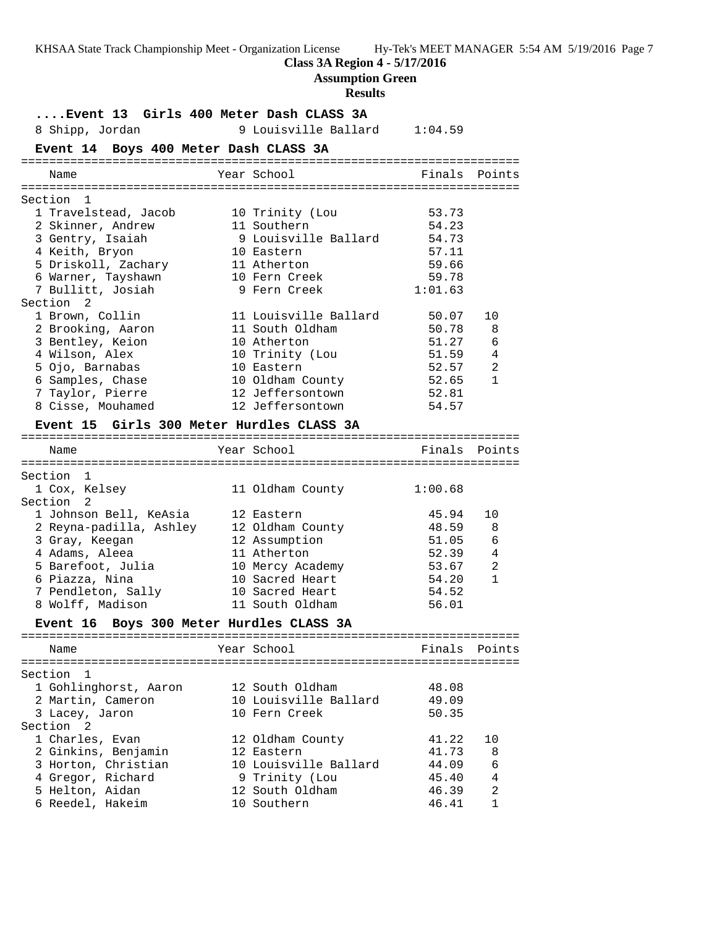## **Class 3A Region 4 - 5/17/2016**

**Assumption Green**

#### **Results**

**....Event 13 Girls 400 Meter Dash CLASS 3A** 8 Shipp, Jordan 9 Louisville Ballard 1:04.59 **Event 14 Boys 400 Meter Dash CLASS 3A** ======================================================================= Name The Year School The Finals Points ======================================================================= Section 1 1 Travelstead, Jacob 10 Trinity (Lou 53.73 2 Skinner, Andrew 11 Southern 54.23 3 Gentry, Isaiah 9 Louisville Ballard 54.73 4 Keith, Bryon 10 Eastern 57.11 5 Driskoll, Zachary 11 Atherton 59.66 6 Warner, Tayshawn 10 Fern Creek 59.78 7 Bullitt, Josiah 9 Fern Creek 1:01.63 Section 2 1 Brown, Collin 11 Louisville Ballard 50.07 10 2 Brooking, Aaron 11 South Oldham 50.78 8 3 Bentley, Keion 10 Atherton 51.27 6 4 Wilson, Alex 10 Trinity (Lou 51.59 4 5 Ojo, Barnabas 10 Eastern 52.57 2 6 Samples, Chase 10 Oldham County 52.65 1 7 Taylor, Pierre 12 Jeffersontown 52.81 8 Cisse, Mouhamed 12 Jeffersontown 54.57 **Event 15 Girls 300 Meter Hurdles CLASS 3A** ======================================================================= Name The Year School The Finals Points ======================================================================= Section 1<br>1 Cox, Kelsey 11 Oldham County 1:00.68 Section 2 1 Johnson Bell, KeAsia 12 Eastern 45.94 10 2 Reyna-padilla, Ashley 12 Oldham County 48.59 8 3 Gray, Keegan 12 Assumption 51.05 6 4 Adams, Aleea 11 Atherton 52.39 4 5 Barefoot, Julia 10 Mercy Academy 53.67 2 6 Piazza, Nina 10 Sacred Heart 54.20 1 7 Pendleton, Sally 10 Sacred Heart 54.52 8 Wolff, Madison 11 South Oldham 56.01 **Event 16 Boys 300 Meter Hurdles CLASS 3A** ======================================================================= Name The Year School Team Points Points ======================================================================= Section 1 1 Gohlinghorst, Aaron 12 South Oldham 48.08 2 Martin, Cameron 10 Louisville Ballard 49.09 3 Lacey, Jaron 10 Fern Creek 50.35 Section 2 1 Charles, Evan 12 Oldham County 41.22 10 2 Ginkins, Benjamin 12 Eastern 41.73 8 3 Horton, Christian 10 Louisville Ballard 44.09 6 4 Gregor, Richard 9 Trinity (Lou 45.40 4 5 Helton, Aidan 12 South Oldham 46.39 2 6 Reedel, Hakeim 10 Southern 46.41 1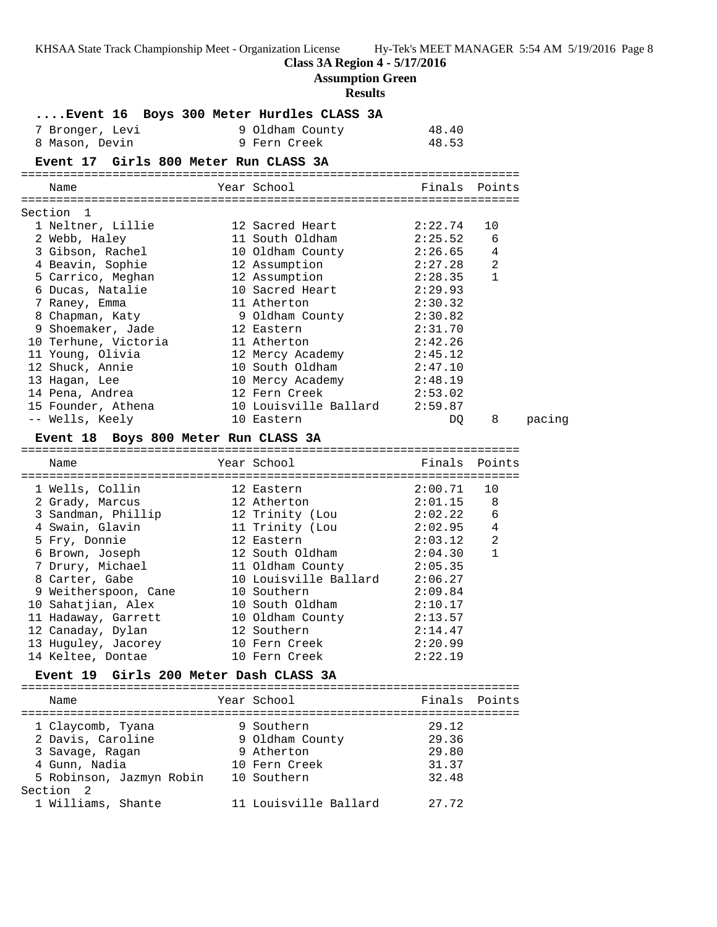# **Class 3A Region 4 - 5/17/2016**

**Assumption Green**

# **Results**

|                      | Event 16 Boys 300 Meter Hurdles CLASS 3A |                                                    |                    |               |        |
|----------------------|------------------------------------------|----------------------------------------------------|--------------------|---------------|--------|
|                      | 7 Bronger, Levi                          | 9 Oldham County                                    | 48.40              |               |        |
|                      | 8 Mason, Devin                           | 9 Fern Creek                                       | 48.53              |               |        |
|                      | Event 17 Girls 800 Meter Run CLASS 3A    |                                                    |                    |               |        |
| Name                 |                                          | Year School                                        |                    | Finals Points |        |
|                      |                                          |                                                    |                    |               |        |
| Section 1            | 1 Neltner, Lillie                        | 12 Sacred Heart                                    |                    |               |        |
|                      |                                          | 11 South Oldham                                    | 2:22.74<br>2:25.52 | 10<br>6       |        |
|                      | 2 Webb, Haley<br>3 Gibson, Rachel        | 10 Oldham County                                   | 2:26.65            | 4             |        |
|                      | 4 Beavin, Sophie                         | 12 Assumption                                      | 2:27.28            | 2             |        |
|                      | 5 Carrico, Meghan                        | 12 Assumption                                      | 2:28.35            | 1             |        |
|                      | 6 Ducas, Natalie                         | 10 Sacred Heart                                    | 2:29.93            |               |        |
|                      | 7 Raney, Emma                            | 11 Atherton                                        | 2:30.32            |               |        |
|                      | 8 Chapman, Katy                          | 9 Oldham County                                    | 2:30.82            |               |        |
|                      | 9 Shoemaker, Jade                        | 12 Eastern                                         | 2:31.70            |               |        |
|                      | 10 Terhune, Victoria                     | 11 Atherton                                        | 2:42.26            |               |        |
|                      | 11 Young, Olivia                         | 12 Mercy Academy                                   | 2:45.12            |               |        |
|                      | 12 Shuck, Annie                          | 10 South Oldham                                    | 2:47.10            |               |        |
|                      | 13 Hagan, Lee                            |                                                    | 2:48.19            |               |        |
|                      | 14 Pena, Andrea                          | 10 Mercy Academy<br>12 Fern Creek<br>12 Fern Creek | 2:53.02            |               |        |
|                      | 15 Founder, Athena                       | 10 Louisville Ballard                              | 2:59.87            |               |        |
|                      | -- Wells, Keely                          | 10 Eastern                                         | DQ                 | 8             | pacing |
|                      | Event 18 Boys 800 Meter Run CLASS 3A     |                                                    |                    |               |        |
| Name                 |                                          | Year School                                        | Finals Points      |               |        |
|                      |                                          |                                                    |                    |               |        |
|                      | 1 Wells, Collin                          | 12 Eastern                                         | 2:00.71            | 10            |        |
|                      | 2 Grady, Marcus                          | 12 Atherton                                        | 2:01.15            | 8             |        |
|                      | 3 Sandman, Phillip                       | 12 Trinity (Lou                                    | 2:02.22            | 6             |        |
|                      | 4 Swain, Glavin                          | 11 Trinity (Lou                                    | 2:02.95            | -4            |        |
|                      | 5 Fry, Donnie                            | 12 Eastern                                         | 2:03.12            | 2             |        |
|                      | 6 Brown, Joseph                          | 12 South Oldham                                    | 2:04.30            | $\mathbf{1}$  |        |
|                      | 7 Drury, Michael                         | 11 Oldham County                                   | 2:05.35            |               |        |
|                      | 8 Carter, Gabe                           | 10 Louisville Ballard                              | 2:06.27            |               |        |
|                      | 9 Weitherspoon, Cane                     | 10 Southern                                        | 2:09.84            |               |        |
|                      | 10 Sahatjian, Alex                       | 10 South Oldham                                    | 2:10.17            |               |        |
|                      | 11 Hadaway, Garrett                      | 10 Oldham County                                   | 2:13.57            |               |        |
|                      | 12 Canaday, Dylan                        | 12 Southern                                        | 2:14.47            |               |        |
|                      | 13 Huguley, Jacorey                      | 10 Fern Creek                                      | 2:20.99            |               |        |
|                      | 14 Keltee, Dontae                        | 10 Fern Creek                                      | 2:22.19            |               |        |
|                      | Event 19 Girls 200 Meter Dash CLASS 3A   |                                                    |                    |               |        |
| Name                 |                                          | Year School                                        | Finals             | Points        |        |
|                      | 1 Claycomb, Tyana                        | 9 Southern                                         | 29.12              |               |        |
|                      | 2 Davis, Caroline                        | 9 Oldham County                                    | 29.36              |               |        |
|                      | 3 Savage, Ragan                          | 9 Atherton                                         | 29.80              |               |        |
|                      | 4 Gunn, Nadia                            | 10 Fern Creek                                      | 31.37              |               |        |
|                      | 5 Robinson, Jazmyn Robin 10 Southern     |                                                    | 32.48              |               |        |
| Section <sub>2</sub> |                                          |                                                    |                    |               |        |
|                      | 1 Williams, Shante                       | 11 Louisville Ballard                              | 27.72              |               |        |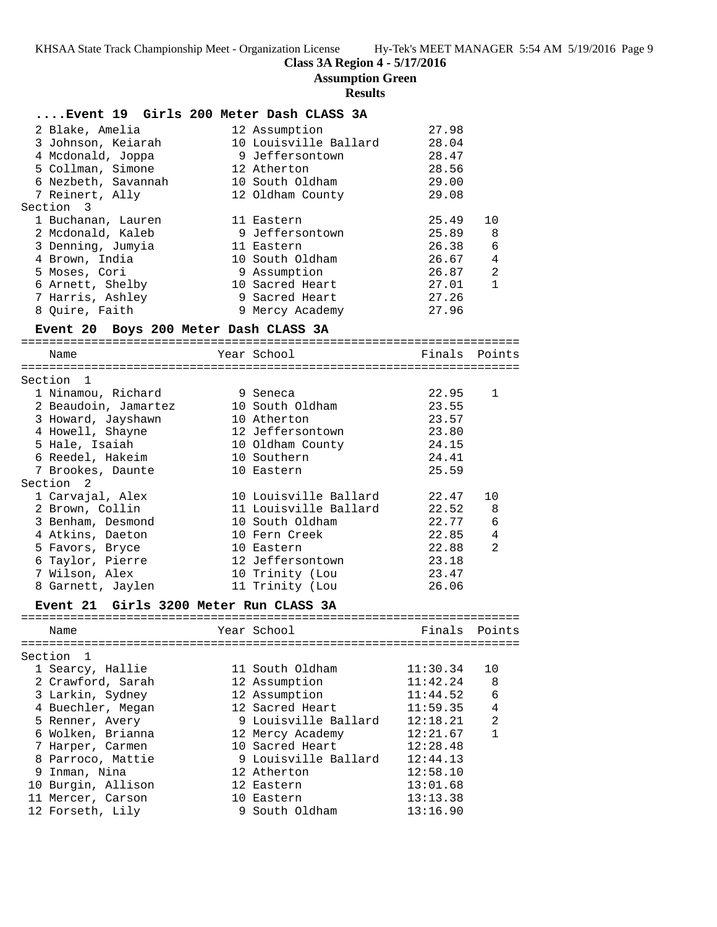## **Class 3A Region 4 - 5/17/2016**

**Assumption Green**

## **Results**

| Event 19 Girls 200 Meter Dash CLASS 3A |                                                 |                |                |
|----------------------------------------|-------------------------------------------------|----------------|----------------|
| 2 Blake, Amelia                        | 12 Assumption                                   | 27.98          |                |
| 3 Johnson, Keiarah                     | 10 Louisville Ballard                           | 28.04          |                |
| 4 Mcdonald, Joppa                      | 9 Jeffersontown                                 | 28.47          |                |
| 5 Collman, Simone                      | 12 Atherton                                     | 28.56          |                |
| 6 Nezbeth, Savannah                    | 10 South Oldham                                 | 29.00          |                |
| 7 Reinert, Ally                        | 12 Oldham County                                | 29.08          |                |
| Section 3                              |                                                 |                |                |
| 1 Buchanan, Lauren                     | 11 Eastern                                      | 25.49          | 10             |
| 2 Mcdonald, Kaleb                      | 9 Jeffersontown                                 | 25.89          | 8              |
| 3 Denning, Jumyia                      | 11 Eastern                                      | 26.38          | 6              |
| 4 Brown, India                         | 10 South Oldham                                 |                | $\overline{4}$ |
|                                        |                                                 | 26.67          | 2              |
| 5 Moses, Cori                          | 9 Assumption<br>10 Sacred Heart                 | 26.87<br>27.01 |                |
| 6 Arnett, Shelby                       |                                                 |                | 1              |
| 7 Harris, Ashley                       | 9 Sacred Heart                                  | 27.26          |                |
| 8 Quire, Faith                         | 9 Mercy Academy                                 | 27.96          |                |
| Event 20 Boys 200 Meter Dash CLASS 3A  |                                                 |                |                |
|                                        |                                                 |                |                |
| Name                                   | Year School                                     | Finals Points  |                |
|                                        |                                                 |                |                |
| Section 1                              |                                                 |                |                |
| 1 Ninamou, Richard                     | 9 Seneca                                        | 22.95          | 1              |
| 2 Beaudoin, Jamartez                   | 10 South Oldham                                 | 23.55          |                |
| 3 Howard, Jayshawn<br>4 Howell, Shayne | 10 Atherton                                     | 23.57          |                |
|                                        | 12 Jeffersontown                                | 23.80          |                |
| 5 Hale, Isaiah                         | 10 Oldham County                                | 24.15          |                |
| 6 Reedel, Hakeim                       | 10 Southern                                     | 24.41          |                |
| 7 Brookes, Daunte                      | 10 Eastern                                      | 25.59          |                |
| Section 2                              |                                                 |                |                |
| 1 Carvajal, Alex                       | 10 Louisville Ballard 22.47                     |                | 10             |
| 2 Brown, Collin                        | 11 Louisville Ballard                           | 22.52          | -8             |
| 3 Benham, Desmond                      | 10 South Oldham                                 | 22.77          | - 6            |
| 4 Atkins, Daeton                       | 10 Fern Creek                                   | 22.85          | 4              |
| 5 Favors, Bryce                        | 10 Eastern                                      | 22.88          | 2              |
| 6 Taylor, Pierre                       | 12 Jeffersontown                                | 23.18          |                |
| 7 Wilson, Alex                         | 10 Trinity (Lou                                 | 23.47          |                |
| 8 Garnett, Jaylen                      | 11 Trinity (Lou                                 | 26.06          |                |
| Event 21                               | Girls 3200 Meter Run CLASS 3A                   |                |                |
|                                        |                                                 |                |                |
| Name                                   | Year School <a> Finals Points</a> Finals Points |                |                |
|                                        |                                                 |                |                |
| Section 1                              |                                                 |                |                |
| 1 Searcy, Hallie                       | 11 South Oldham                                 | 11:30.34       | 10             |
| 2 Crawford, Sarah                      | 12 Assumption                                   | 11:42.24       | 8              |
| 3 Larkin, Sydney                       | 12 Assumption                                   | 11:44.52       | 6              |
| 4 Buechler, Megan                      | 12 Sacred Heart                                 | 11:59.35       | 4              |
| 5 Renner, Avery                        | 9 Louisville Ballard                            | 12:18.21       | $\overline{a}$ |
| 6 Wolken, Brianna                      | 12 Mercy Academy                                | 12:21.67       | $\mathbf{1}$   |
| 7 Harper, Carmen                       | 10 Sacred Heart                                 | 12:28.48       |                |
| 8 Parroco, Mattie                      | 9 Louisville Ballard                            | 12:44.13       |                |
| 9 Inman, Nina                          | 12 Atherton                                     | 12:58.10       |                |

 10 Burgin, Allison 12 Eastern 13:01.68 11 Mercer, Carson 10 Eastern 13:13.38 12 Forseth, Lily 9 South Oldham 13:16.90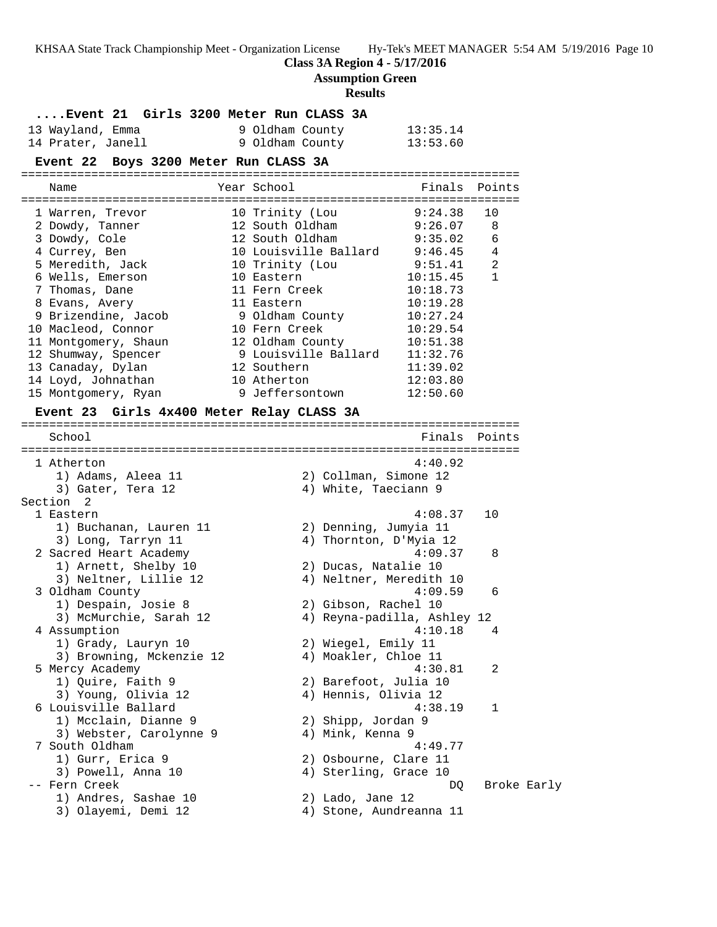## **Class 3A Region 4 - 5/17/2016**

**Assumption Green**

#### **Results**

**....Event 21 Girls 3200 Meter Run CLASS 3A**

| 13 Wayland, Emma  | 9 Oldham County | 13:35.14 |
|-------------------|-----------------|----------|
| 14 Prater, Janell | 9 Oldham County | 13:53.60 |

## **Event 22 Boys 3200 Meter Run CLASS 3A**

======================================================================= Name The Year School The Finals Points ======================================================================= 1 Warren, Trevor 10 Trinity (Lou 9:24.38 10 2 Dowdy, Tanner 12 South Oldham 9:26.07 8 3 Dowdy, Cole 12 South Oldham 9:35.02 6 4 Currey, Ben 10 Louisville Ballard 9:46.45 4 5 Meredith, Jack 10 Trinity (Lou 9:51.41 2 6 Wells, Emerson 10 Eastern 10:15.45 1 7 Thomas, Dane 11 Fern Creek 10:18.73 8 Evans, Avery 11 Eastern 10:19.28 9 Brizendine, Jacob 9 Oldham County 10:27.24 10 Macleod, Connor 10 Fern Creek 10:29.54 11 Montgomery, Shaun 12 Oldham County 10:51.38 12 Shumway, Spencer 9 Louisville Ballard 11:32.76 13 Canaday, Dylan 12 Southern 11:39.02 14 Loyd, Johnathan 10 Atherton 12:03.80 15 Montgomery, Ryan 9 Jeffersontown 12:50.60 **Event 23 Girls 4x400 Meter Relay CLASS 3A** ======================================================================= School **Finals Points** ======================================================================= 1 Atherton 4:40.92 1) Adams, Aleea 11 2) Collman, Simone 12 3) Gater, Tera 12 (4) White, Taeciann 9 Section 2 1 Eastern 4:08.37 10 1) Buchanan, Lauren 11 2) Denning, Jumyia 11 3) Long, Tarryn 11 4) Thornton, D'Myia 12 2 Sacred Heart Academy 4:09.37 8 1) Arnett, Shelby 10 2) Ducas, Natalie 10 3) Neltner, Lillie 12 4) Neltner, Meredith 10 3 Oldham County 4:09.59 6 1) Despain, Josie 8 2) Gibson, Rachel 10 3) McMurchie, Sarah 12 4) Reyna-padilla, Ashley 12 4 Assumption 4:10.18 4 1) Grady, Lauryn 10 2) Wiegel, Emily 11 3) Browning, Mckenzie 12  $\hskip1cm$  4) Moakler, Chloe 11 5 Mercy Academy 4:30.81 2 1) Quire, Faith 9 2) Barefoot, Julia 10 3) Young, Olivia 12 4) Hennis, Olivia 12 5 Mercy Academy<br>
1) Quire, Faith 9<br>
3) Young, Olivia 12<br>
6 Louisville Ballard<br>
1) Mcclain, Dianne 9<br>
2) Shipp, Jordan 9<br>
2) Shipp, Jordan 9

- 1) Mcclain, Dianne 9 2) Shipp, Jordan 9 3) Webster, Carolynne 9  $\,$  4) Mink, Kenna 9  $\,$  7 South Oldham 4:49.77 1) Gurr, Erica 9 2) Osbourne, Clare 11 3) Powell, Anna 10 4) Sterling, Grace 10 -- Fern Creek and DQ Broke Early
	-
- 3) Olayemi, Demi 12 4) Stone, Aundreanna 11
- 1) Andres, Sashae 10 2) Lado, Jane 12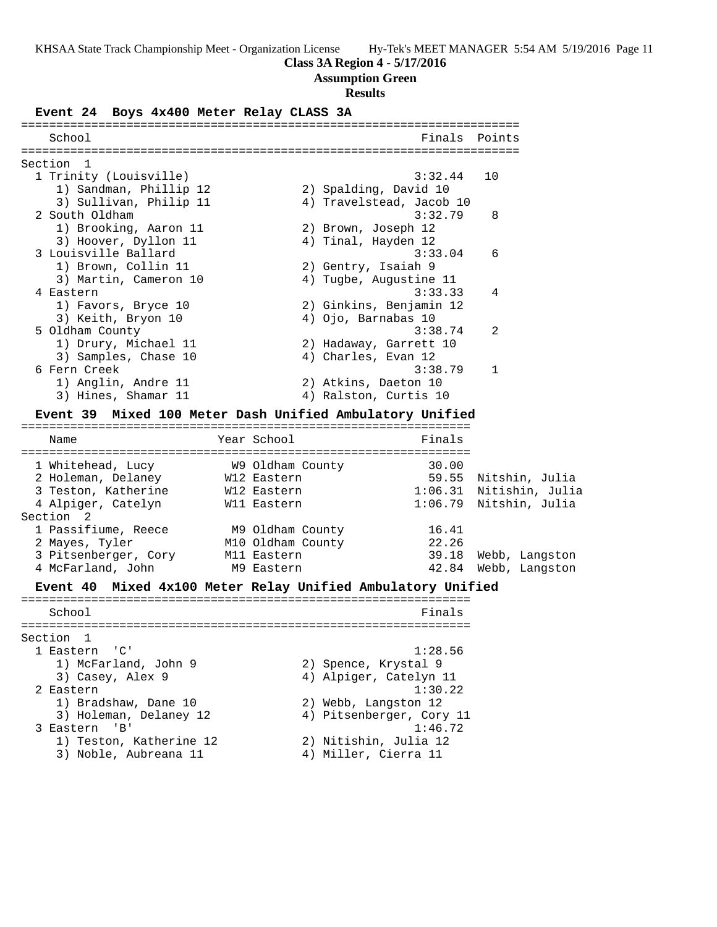## **Class 3A Region 4 - 5/17/2016**

## **Assumption Green**

## **Results**

**Event 24 Boys 4x400 Meter Relay CLASS 3A**

| ===========                                                                                                      |                   |                                                 |                      |
|------------------------------------------------------------------------------------------------------------------|-------------------|-------------------------------------------------|----------------------|
| School                                                                                                           |                   | Finals                                          | Points               |
| Section<br>1                                                                                                     |                   |                                                 |                      |
| 1 Trinity (Louisville)                                                                                           |                   | 3:32.44                                         | 10                   |
| 1) Sandman, Phillip 12                                                                                           |                   | 2) Spalding, David 10                           |                      |
| 3) Sullivan, Philip 11                                                                                           |                   | 4) Travelstead, Jacob 10                        |                      |
| 2 South Oldham                                                                                                   |                   | 3:32.79                                         | 8                    |
| 1) Brooking, Aaron 11                                                                                            |                   |                                                 |                      |
| 3) Hoover, Dyllon 11                                                                                             |                   | 2) Brown, Joseph 12<br>4) Tinal, Hayden 12      |                      |
| 3 Louisville Ballard                                                                                             |                   | 3:33.04                                         | 6                    |
| 1) Brown, Collin 11                                                                                              |                   |                                                 |                      |
|                                                                                                                  |                   | 2) Gentry, Isaiah 9                             |                      |
| 3) Martin, Cameron 10                                                                                            |                   | 4) Tugbe, Augustine 11<br>3:33.33               | 4                    |
| 4 Eastern                                                                                                        |                   |                                                 |                      |
| 1) Favors, Bryce 10                                                                                              |                   | 2) Ginkins, Benjamin 12                         |                      |
| 3) Keith, Bryon 10<br>5 Oldham County                                                                            |                   | 4) Ojo, Barnabas 10<br>3:38.74                  | 2                    |
| 1) Drury, Michael 11                                                                                             |                   | 2) Hadaway, Garrett 10                          |                      |
|                                                                                                                  |                   |                                                 |                      |
| 3) Samples, Chase 10<br>6 Fern Creek                                                                             |                   | 4) Charles, Evan 12<br>3:38.79                  | 1                    |
| 1) Anglin, Andre 11                                                                                              |                   | 2) Atkins, Daeton 10                            |                      |
| 3) Hines, Shamar 11                                                                                              |                   | 4) Ralston, Curtis 10                           |                      |
|                                                                                                                  |                   |                                                 |                      |
| <b>Event 39</b>                                                                                                  |                   | Mixed 100 Meter Dash Unified Ambulatory Unified |                      |
| Name                                                                                                             | Year School       | Finals                                          |                      |
|                                                                                                                  |                   |                                                 |                      |
| 1 Whitehead, Lucy                                                                                                | W9 Oldham County  | 30.00                                           |                      |
| 2 Holeman, Delaney                                                                                               | W12 Eastern       |                                                 | 59.55 Nitshin, Julia |
| 3 Teston, Katherine                                                                                              | W12 Eastern       | 1:06.31 Nitishin, Julia                         |                      |
| 4 Alpiger, Catelyn                                                                                               | Wll Eastern       | 1:06.79 Nitshin, Julia                          |                      |
| Section 2                                                                                                        |                   |                                                 |                      |
| 1 Passifiume, Reece                                                                                              | M9 Oldham County  | 16.41                                           |                      |
| 2 Mayes, Tyler                                                                                                   | M10 Oldham County | 22.26                                           |                      |
| 3 Pitsenberger, Cory                                                                                             | M11 Eastern       | 39.18                                           | Webb, Langston       |
| 4 McFarland, John                                                                                                | M9 Eastern        | 42.84                                           | Webb, Langston       |
| Event 40 Mixed 4x100 Meter Relay Unified Ambulatory Unified                                                      |                   |                                                 |                      |
| School                                                                                                           |                   | Finals                                          |                      |
|                                                                                                                  |                   |                                                 |                      |
| Section<br>ı                                                                                                     |                   |                                                 |                      |
| $\overline{\phantom{a}}$ $\overline{\phantom{a}}$ $\overline{\phantom{a}}$ $\overline{\phantom{a}}$<br>1 Eastern |                   | 1:28.56                                         |                      |
| 1) McFarland, John 9                                                                                             |                   | 2) Spence, Krystal 9                            |                      |
| 3) Casey, Alex 9                                                                                                 |                   | 4) Alpiger, Catelyn 11                          |                      |
| 2 Eastern                                                                                                        |                   | 1:30.22                                         |                      |
| 1) Bradshaw, Dane 10                                                                                             |                   | 2) Webb, Langston 12                            |                      |

- 3) Holeman, Delaney 12 4) Pitsenberger, Cory 11 3 Eastern 'B' 1:46.72 1) Teston, Katherine 12 2) Nitishin, Julia 12
	-
- 
- 3) Noble, Aubreana 11 4) Miller, Cierra 11